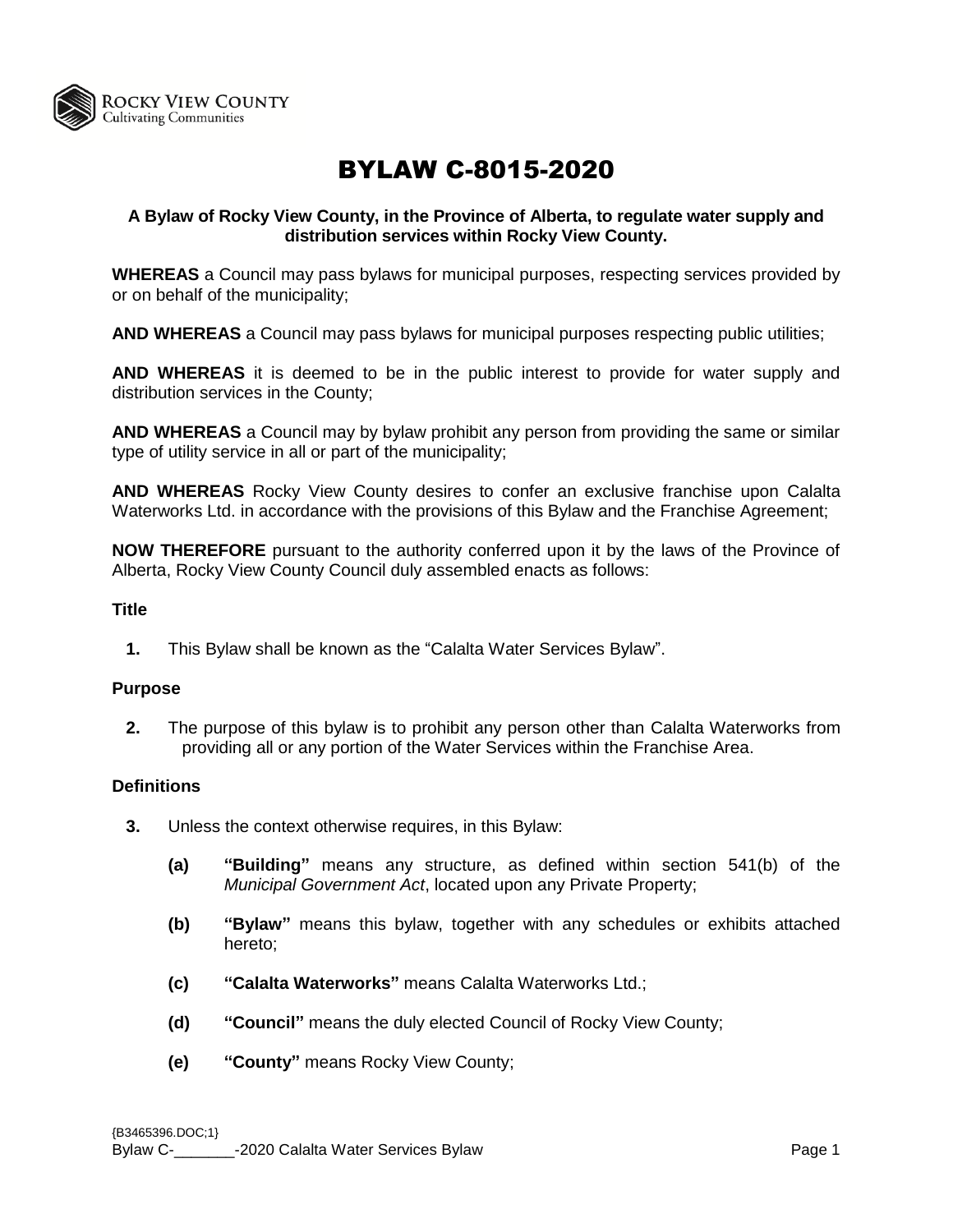

# BYLAW C-8015-2020

## **A Bylaw of Rocky View County, in the Province of Alberta, to regulate water supply and distribution services within Rocky View County.**

**WHEREAS** a Council may pass bylaws for municipal purposes, respecting services provided by or on behalf of the municipality;

**AND WHEREAS** a Council may pass bylaws for municipal purposes respecting public utilities;

**AND WHEREAS** it is deemed to be in the public interest to provide for water supply and distribution services in the County;

**AND WHEREAS** a Council may by bylaw prohibit any person from providing the same or similar type of utility service in all or part of the municipality;

**AND WHEREAS** Rocky View County desires to confer an exclusive franchise upon Calalta Waterworks Ltd. in accordance with the provisions of this Bylaw and the Franchise Agreement;

**NOW THEREFORE** pursuant to the authority conferred upon it by the laws of the Province of Alberta, Rocky View County Council duly assembled enacts as follows:

## **Title**

**1.** This Bylaw shall be known as the "Calalta Water Services Bylaw".

#### **Purpose**

**2.** The purpose of this bylaw is to prohibit any person other than Calalta Waterworks from providing all or any portion of the Water Services within the Franchise Area.

#### **Definitions**

- **3.** Unless the context otherwise requires, in this Bylaw:
	- **(a) "Building"** means any structure, as defined within section 541(b) of the *Municipal Government Act*, located upon any Private Property;
	- **(b) "Bylaw"** means this bylaw, together with any schedules or exhibits attached hereto;
	- **(c) "Calalta Waterworks"** means Calalta Waterworks Ltd.;
	- **(d) "Council"** means the duly elected Council of Rocky View County;
	- **(e) "County"** means Rocky View County;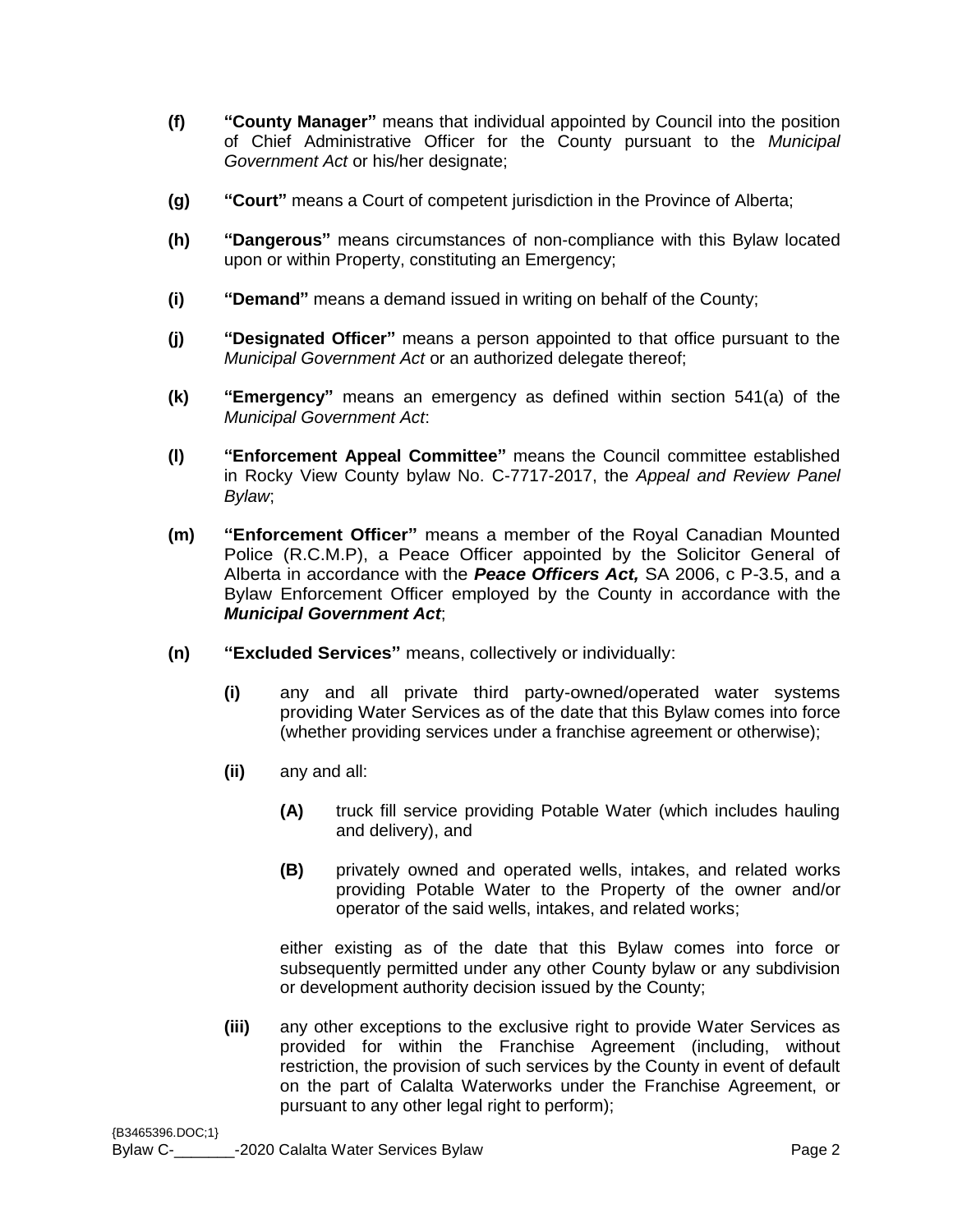- **(f) "County Manager"** means that individual appointed by Council into the position of Chief Administrative Officer for the County pursuant to the *Municipal Government Act* or his/her designate;
- **(g) "Court"** means a Court of competent jurisdiction in the Province of Alberta;
- **(h) "Dangerous"** means circumstances of non-compliance with this Bylaw located upon or within Property, constituting an Emergency;
- **(i) "Demand"** means a demand issued in writing on behalf of the County;
- **(j) "Designated Officer"** means a person appointed to that office pursuant to the *Municipal Government Act* or an authorized delegate thereof;
- **(k) "Emergency"** means an emergency as defined within section 541(a) of the *Municipal Government Act*:
- **(l) "Enforcement Appeal Committee"** means the Council committee established in Rocky View County bylaw No. C-7717-2017, the *Appeal and Review Panel Bylaw*;
- **(m) "Enforcement Officer"** means a member of the Royal Canadian Mounted Police (R.C.M.P), a Peace Officer appointed by the Solicitor General of Alberta in accordance with the *Peace Officers Act,* SA 2006, c P-3.5, and a Bylaw Enforcement Officer employed by the County in accordance with the *Municipal Government Act*;
- **(n) "Excluded Services"** means, collectively or individually:
	- **(i)** any and all private third party-owned/operated water systems providing Water Services as of the date that this Bylaw comes into force (whether providing services under a franchise agreement or otherwise);
	- **(ii)** any and all:
		- **(A)** truck fill service providing Potable Water (which includes hauling and delivery), and
		- **(B)** privately owned and operated wells, intakes, and related works providing Potable Water to the Property of the owner and/or operator of the said wells, intakes, and related works;

either existing as of the date that this Bylaw comes into force or subsequently permitted under any other County bylaw or any subdivision or development authority decision issued by the County;

**(iii)** any other exceptions to the exclusive right to provide Water Services as provided for within the Franchise Agreement (including, without restriction, the provision of such services by the County in event of default on the part of Calalta Waterworks under the Franchise Agreement, or pursuant to any other legal right to perform);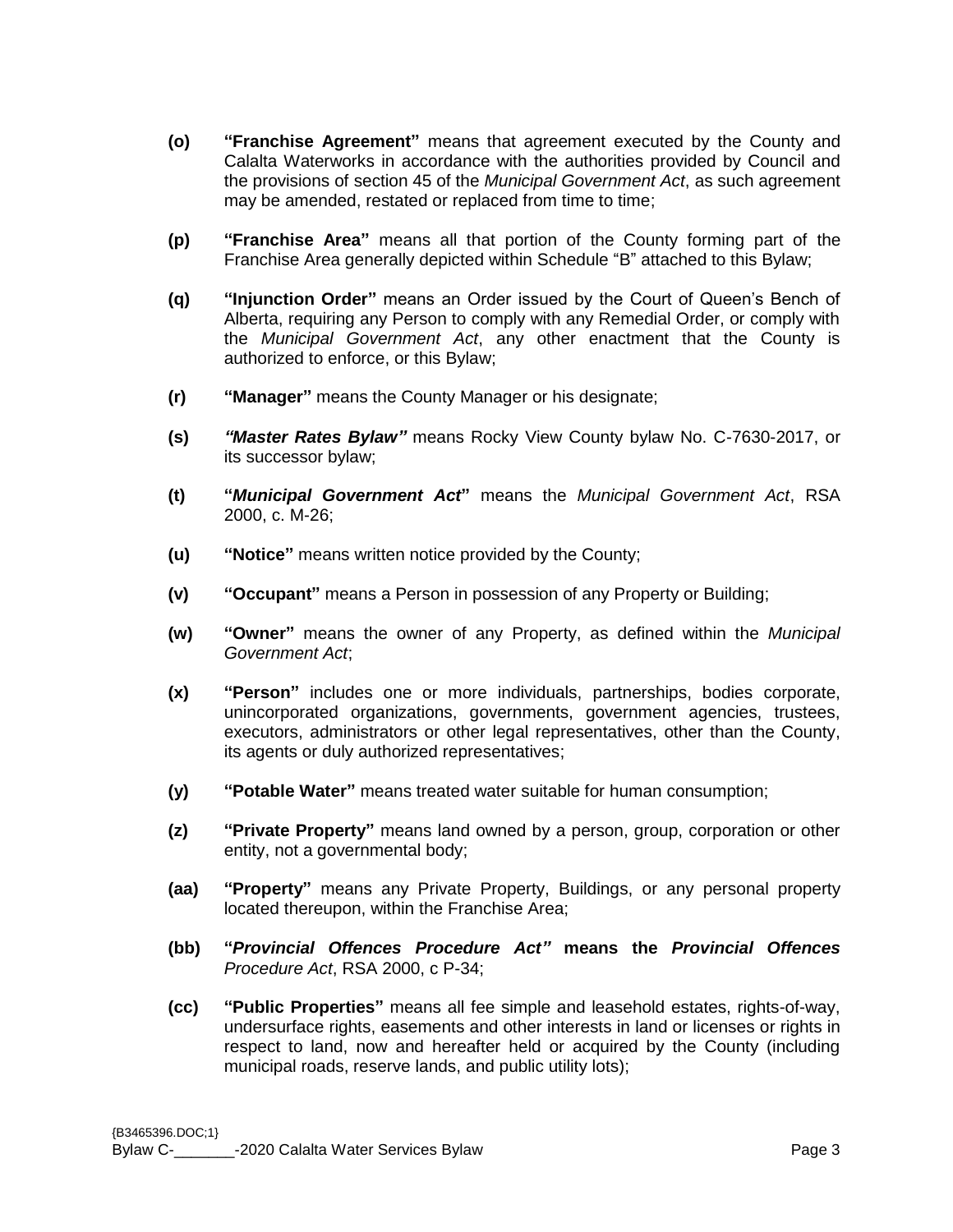- **(o) "Franchise Agreement"** means that agreement executed by the County and Calalta Waterworks in accordance with the authorities provided by Council and the provisions of section 45 of the *Municipal Government Act*, as such agreement may be amended, restated or replaced from time to time;
- **(p) "Franchise Area"** means all that portion of the County forming part of the Franchise Area generally depicted within Schedule "B" attached to this Bylaw;
- **(q) "Injunction Order"** means an Order issued by the Court of Queen's Bench of Alberta, requiring any Person to comply with any Remedial Order, or comply with the *Municipal Government Act*, any other enactment that the County is authorized to enforce, or this Bylaw;
- **(r) "Manager"** means the County Manager or his designate;
- **(s)** *"Master Rates Bylaw"* means Rocky View County bylaw No. C-7630-2017, or its successor bylaw;
- **(t) "***Municipal Government Act***"** means the *Municipal Government Act*, RSA 2000, c. M-26;
- **(u) "Notice"** means written notice provided by the County;
- **(v) "Occupant"** means a Person in possession of any Property or Building;
- **(w) "Owner"** means the owner of any Property, as defined within the *Municipal Government Act*;
- **(x) "Person"** includes one or more individuals, partnerships, bodies corporate, unincorporated organizations, governments, government agencies, trustees, executors, administrators or other legal representatives, other than the County, its agents or duly authorized representatives;
- **(y) "Potable Water"** means treated water suitable for human consumption;
- **(z) "Private Property"** means land owned by a person, group, corporation or other entity, not a governmental body;
- **(aa) "Property"** means any Private Property, Buildings, or any personal property located thereupon, within the Franchise Area;
- **(bb) "***Provincial Offences Procedure Act"* **means the** *Provincial Offences Procedure Act*, RSA 2000, c P-34;
- **(cc) "Public Properties"** means all fee simple and leasehold estates, rights-of-way, undersurface rights, easements and other interests in land or licenses or rights in respect to land, now and hereafter held or acquired by the County (including municipal roads, reserve lands, and public utility lots);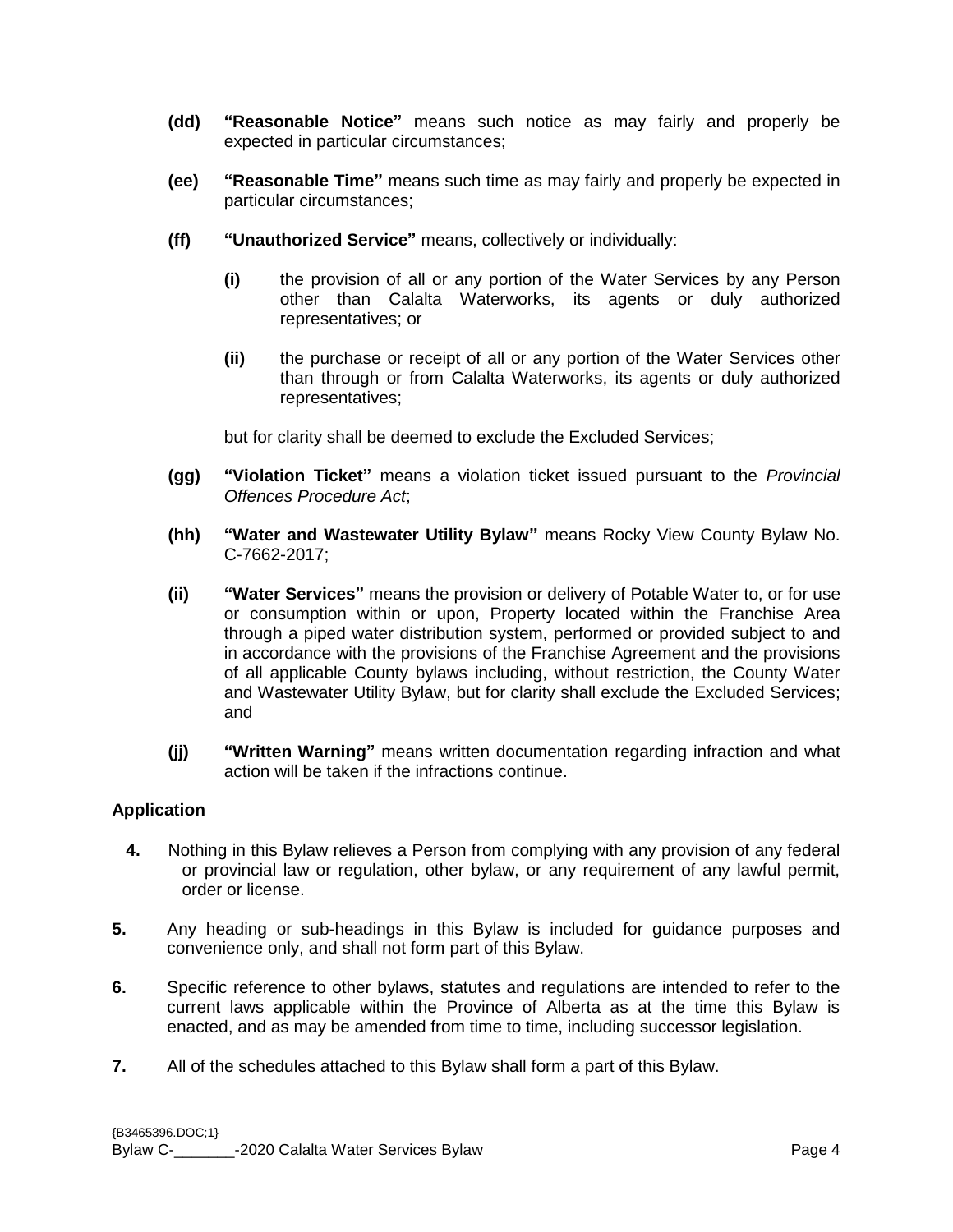- **(dd) "Reasonable Notice"** means such notice as may fairly and properly be expected in particular circumstances;
- **(ee) "Reasonable Time"** means such time as may fairly and properly be expected in particular circumstances;
- **(ff) "Unauthorized Service"** means, collectively or individually:
	- **(i)** the provision of all or any portion of the Water Services by any Person other than Calalta Waterworks, its agents or duly authorized representatives; or
	- **(ii)** the purchase or receipt of all or any portion of the Water Services other than through or from Calalta Waterworks, its agents or duly authorized representatives;

but for clarity shall be deemed to exclude the Excluded Services;

- **(gg) "Violation Ticket"** means a violation ticket issued pursuant to the *Provincial Offences Procedure Act*;
- **(hh) "Water and Wastewater Utility Bylaw"** means Rocky View County Bylaw No. C-7662-2017;
- **(ii) "Water Services"** means the provision or delivery of Potable Water to, or for use or consumption within or upon, Property located within the Franchise Area through a piped water distribution system, performed or provided subject to and in accordance with the provisions of the Franchise Agreement and the provisions of all applicable County bylaws including, without restriction, the County Water and Wastewater Utility Bylaw, but for clarity shall exclude the Excluded Services; and
- **(jj) "Written Warning"** means written documentation regarding infraction and what action will be taken if the infractions continue.

## **Application**

- **4.** Nothing in this Bylaw relieves a Person from complying with any provision of any federal or provincial law or regulation, other bylaw, or any requirement of any lawful permit, order or license.
- **5.** Any heading or sub-headings in this Bylaw is included for guidance purposes and convenience only, and shall not form part of this Bylaw.
- **6.** Specific reference to other bylaws, statutes and regulations are intended to refer to the current laws applicable within the Province of Alberta as at the time this Bylaw is enacted, and as may be amended from time to time, including successor legislation.
- **7.** All of the schedules attached to this Bylaw shall form a part of this Bylaw.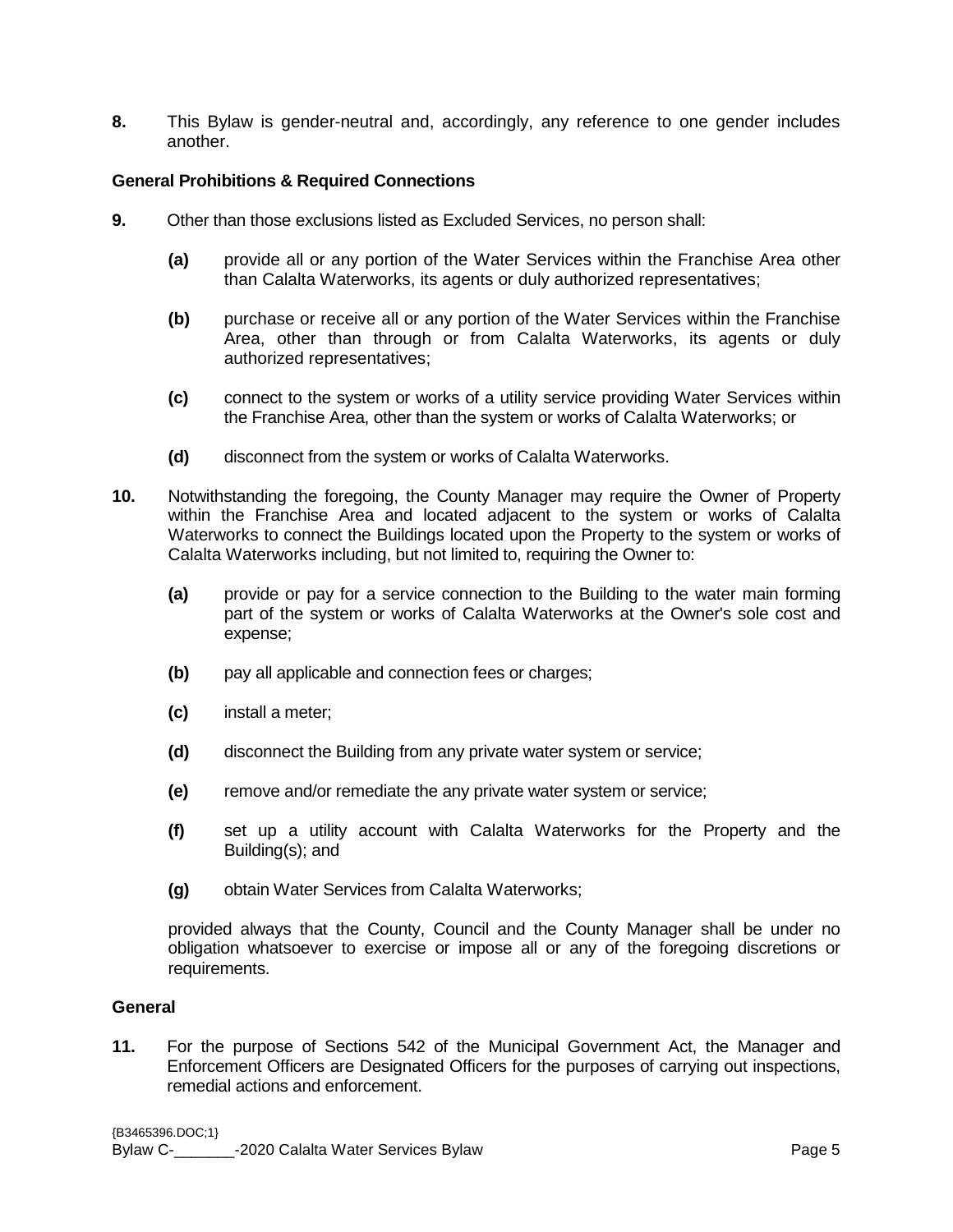**8.** This Bylaw is gender-neutral and, accordingly, any reference to one gender includes another.

## **General Prohibitions & Required Connections**

- **9.** Other than those exclusions listed as Excluded Services, no person shall:
	- **(a)** provide all or any portion of the Water Services within the Franchise Area other than Calalta Waterworks, its agents or duly authorized representatives;
	- **(b)** purchase or receive all or any portion of the Water Services within the Franchise Area, other than through or from Calalta Waterworks, its agents or duly authorized representatives;
	- **(c)** connect to the system or works of a utility service providing Water Services within the Franchise Area, other than the system or works of Calalta Waterworks; or
	- **(d)** disconnect from the system or works of Calalta Waterworks.
- **10.** Notwithstanding the foregoing, the County Manager may require the Owner of Property within the Franchise Area and located adjacent to the system or works of Calalta Waterworks to connect the Buildings located upon the Property to the system or works of Calalta Waterworks including, but not limited to, requiring the Owner to:
	- **(a)** provide or pay for a service connection to the Building to the water main forming part of the system or works of Calalta Waterworks at the Owner's sole cost and expense;
	- **(b)** pay all applicable and connection fees or charges;
	- **(c)** install a meter;
	- **(d)** disconnect the Building from any private water system or service;
	- **(e)** remove and/or remediate the any private water system or service;
	- **(f)** set up a utility account with Calalta Waterworks for the Property and the Building(s); and
	- **(g)** obtain Water Services from Calalta Waterworks;

provided always that the County, Council and the County Manager shall be under no obligation whatsoever to exercise or impose all or any of the foregoing discretions or requirements.

#### **General**

**11.** For the purpose of Sections 542 of the Municipal Government Act, the Manager and Enforcement Officers are Designated Officers for the purposes of carrying out inspections, remedial actions and enforcement.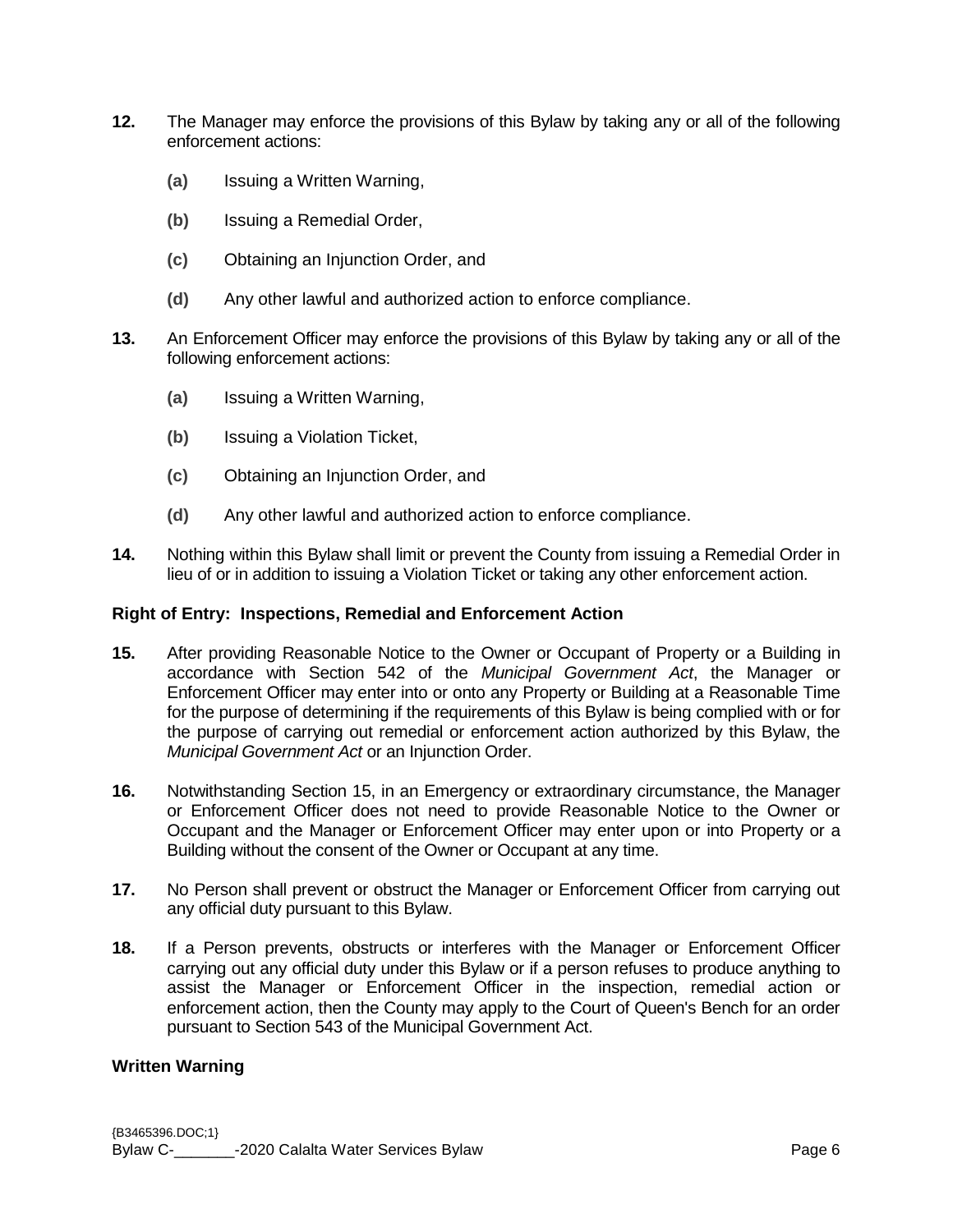- **12.** The Manager may enforce the provisions of this Bylaw by taking any or all of the following enforcement actions:
	- **(a)** Issuing a Written Warning,
	- **(b)** Issuing a Remedial Order,
	- **(c)** Obtaining an Injunction Order, and
	- **(d)** Any other lawful and authorized action to enforce compliance.
- **13.** An Enforcement Officer may enforce the provisions of this Bylaw by taking any or all of the following enforcement actions:
	- **(a)** Issuing a Written Warning,
	- **(b)** Issuing a Violation Ticket,
	- **(c)** Obtaining an Injunction Order, and
	- **(d)** Any other lawful and authorized action to enforce compliance.
- **14.** Nothing within this Bylaw shall limit or prevent the County from issuing a Remedial Order in lieu of or in addition to issuing a Violation Ticket or taking any other enforcement action.

#### **Right of Entry: Inspections, Remedial and Enforcement Action**

- **15.** After providing Reasonable Notice to the Owner or Occupant of Property or a Building in accordance with Section 542 of the *Municipal Government Act*, the Manager or Enforcement Officer may enter into or onto any Property or Building at a Reasonable Time for the purpose of determining if the requirements of this Bylaw is being complied with or for the purpose of carrying out remedial or enforcement action authorized by this Bylaw, the *Municipal Government Act* or an Injunction Order.
- **16.** Notwithstanding Section 15, in an Emergency or extraordinary circumstance, the Manager or Enforcement Officer does not need to provide Reasonable Notice to the Owner or Occupant and the Manager or Enforcement Officer may enter upon or into Property or a Building without the consent of the Owner or Occupant at any time.
- **17.** No Person shall prevent or obstruct the Manager or Enforcement Officer from carrying out any official duty pursuant to this Bylaw.
- **18.** If a Person prevents, obstructs or interferes with the Manager or Enforcement Officer carrying out any official duty under this Bylaw or if a person refuses to produce anything to assist the Manager or Enforcement Officer in the inspection, remedial action or enforcement action, then the County may apply to the Court of Queen's Bench for an order pursuant to Section 543 of the Municipal Government Act.

#### **Written Warning**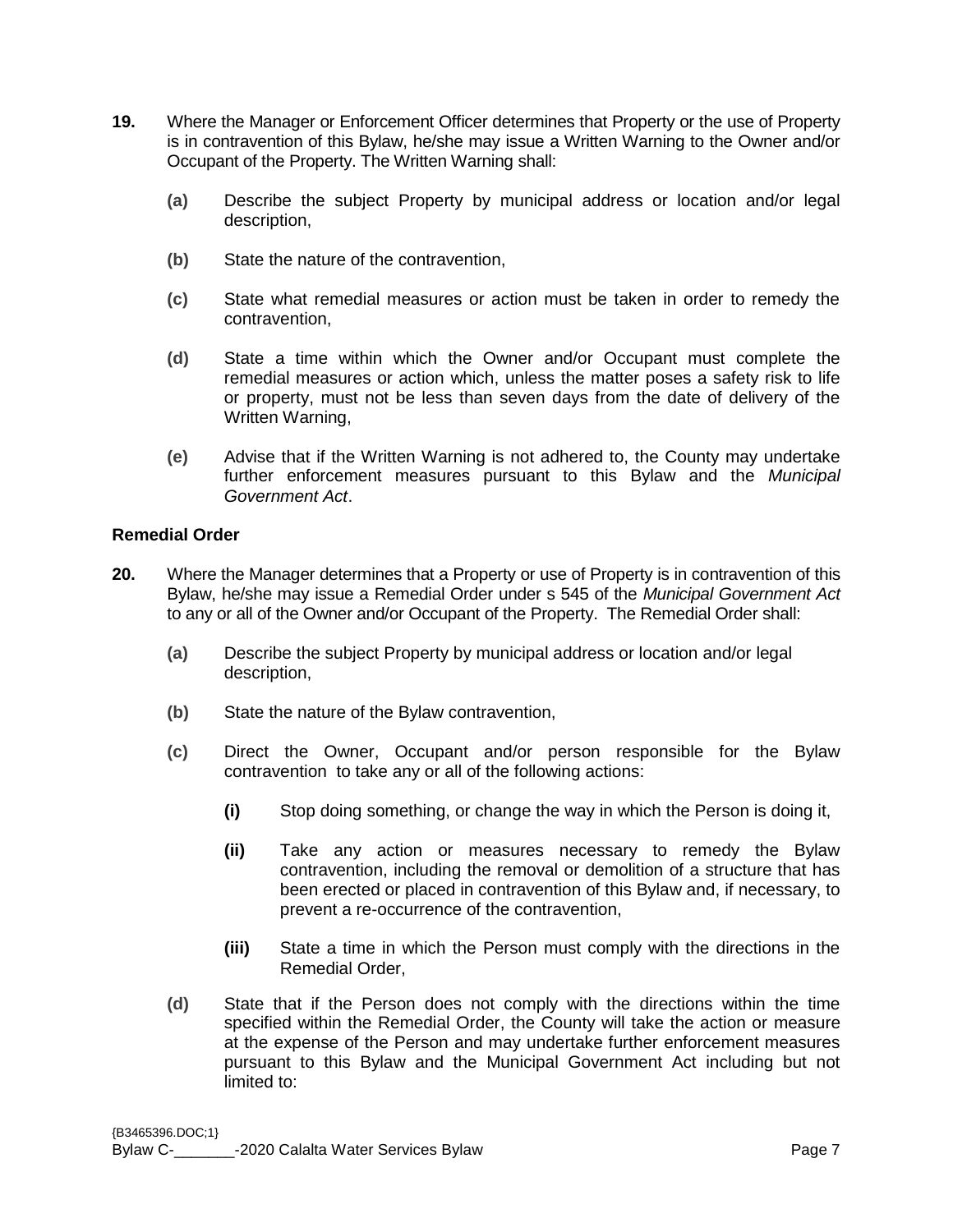- **19.** Where the Manager or Enforcement Officer determines that Property or the use of Property is in contravention of this Bylaw, he/she may issue a Written Warning to the Owner and/or Occupant of the Property. The Written Warning shall:
	- **(a)** Describe the subject Property by municipal address or location and/or legal description,
	- **(b)** State the nature of the contravention,
	- **(c)** State what remedial measures or action must be taken in order to remedy the contravention,
	- **(d)** State a time within which the Owner and/or Occupant must complete the remedial measures or action which, unless the matter poses a safety risk to life or property, must not be less than seven days from the date of delivery of the Written Warning,
	- **(e)** Advise that if the Written Warning is not adhered to, the County may undertake further enforcement measures pursuant to this Bylaw and the *Municipal Government Act*.

## **Remedial Order**

- **20.** Where the Manager determines that a Property or use of Property is in contravention of this Bylaw, he/she may issue a Remedial Order under s 545 of the *Municipal Government Act* to any or all of the Owner and/or Occupant of the Property. The Remedial Order shall:
	- **(a)** Describe the subject Property by municipal address or location and/or legal description,
	- **(b)** State the nature of the Bylaw contravention,
	- **(c)** Direct the Owner, Occupant and/or person responsible for the Bylaw contravention to take any or all of the following actions:
		- **(i)** Stop doing something, or change the way in which the Person is doing it,
		- **(ii)** Take any action or measures necessary to remedy the Bylaw contravention, including the removal or demolition of a structure that has been erected or placed in contravention of this Bylaw and, if necessary, to prevent a re-occurrence of the contravention,
		- **(iii)** State a time in which the Person must comply with the directions in the Remedial Order,
	- **(d)** State that if the Person does not comply with the directions within the time specified within the Remedial Order, the County will take the action or measure at the expense of the Person and may undertake further enforcement measures pursuant to this Bylaw and the Municipal Government Act including but not limited to: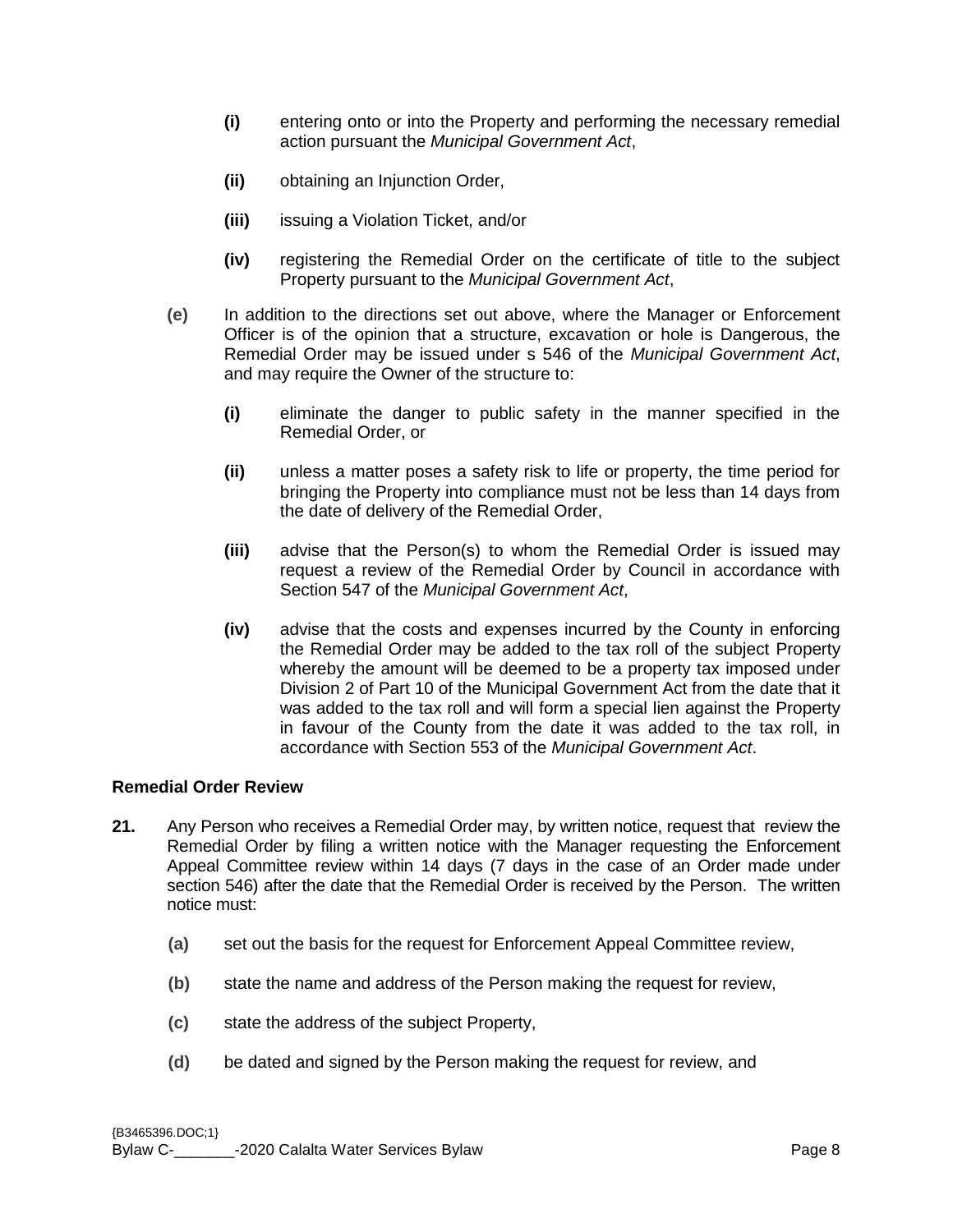- **(i)** entering onto or into the Property and performing the necessary remedial action pursuant the *Municipal Government Act*,
- **(ii)** obtaining an Injunction Order,
- **(iii)** issuing a Violation Ticket, and/or
- **(iv)** registering the Remedial Order on the certificate of title to the subject Property pursuant to the *Municipal Government Act*,
- **(e)** In addition to the directions set out above, where the Manager or Enforcement Officer is of the opinion that a structure, excavation or hole is Dangerous, the Remedial Order may be issued under s 546 of the *Municipal Government Act*, and may require the Owner of the structure to:
	- **(i)** eliminate the danger to public safety in the manner specified in the Remedial Order, or
	- **(ii)** unless a matter poses a safety risk to life or property, the time period for bringing the Property into compliance must not be less than 14 days from the date of delivery of the Remedial Order,
	- **(iii)** advise that the Person(s) to whom the Remedial Order is issued may request a review of the Remedial Order by Council in accordance with Section 547 of the *Municipal Government Act*,
	- **(iv)** advise that the costs and expenses incurred by the County in enforcing the Remedial Order may be added to the tax roll of the subject Property whereby the amount will be deemed to be a property tax imposed under Division 2 of Part 10 of the Municipal Government Act from the date that it was added to the tax roll and will form a special lien against the Property in favour of the County from the date it was added to the tax roll, in accordance with Section 553 of the *Municipal Government Act*.

#### **Remedial Order Review**

- **21.** Any Person who receives a Remedial Order may, by written notice, request that review the Remedial Order by filing a written notice with the Manager requesting the Enforcement Appeal Committee review within 14 days (7 days in the case of an Order made under section 546) after the date that the Remedial Order is received by the Person. The written notice must:
	- **(a)** set out the basis for the request for Enforcement Appeal Committee review,
	- **(b)** state the name and address of the Person making the request for review,
	- **(c)** state the address of the subject Property,
	- **(d)** be dated and signed by the Person making the request for review, and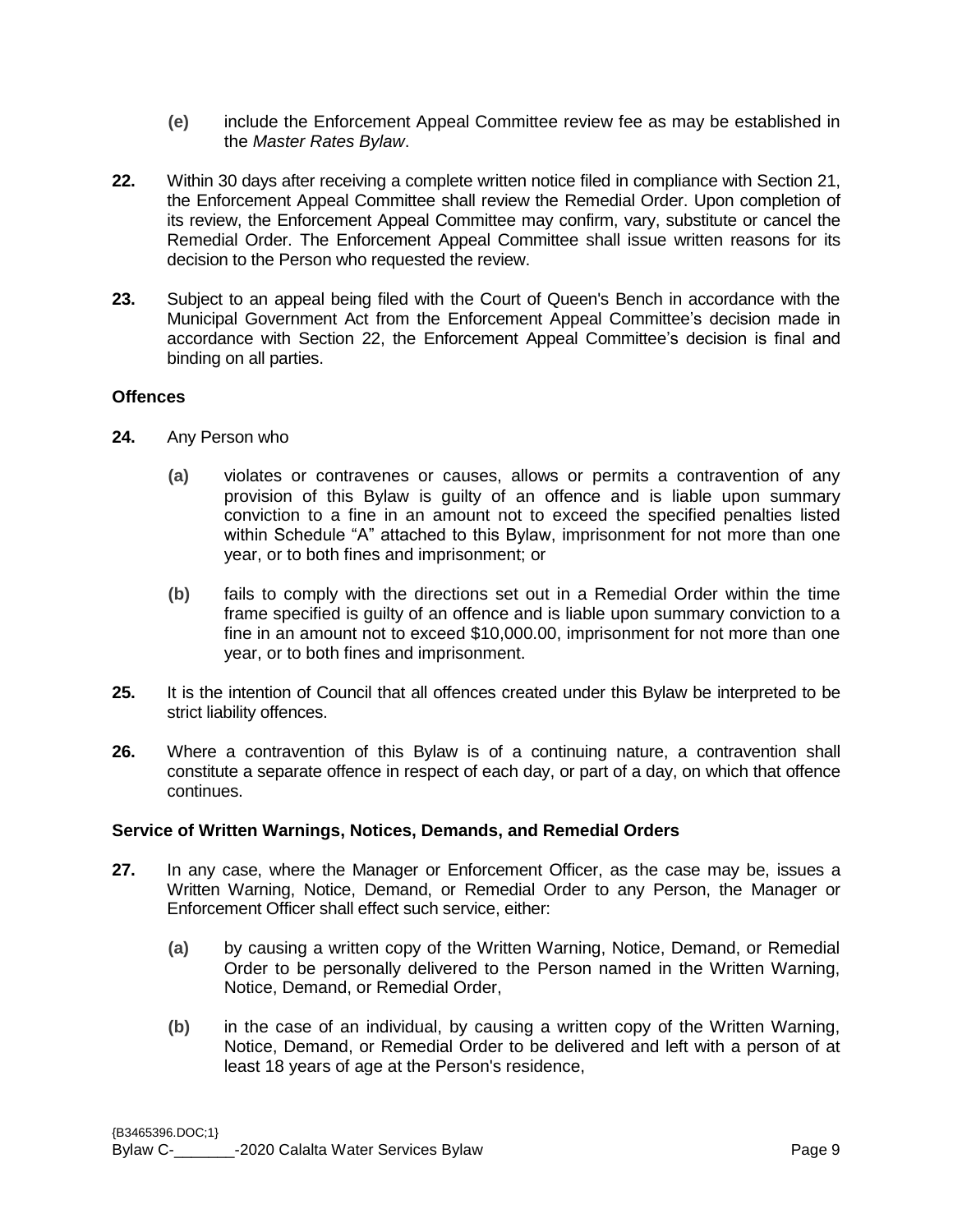- **(e)** include the Enforcement Appeal Committee review fee as may be established in the *Master Rates Bylaw*.
- **22.** Within 30 days after receiving a complete written notice filed in compliance with Section 21, the Enforcement Appeal Committee shall review the Remedial Order. Upon completion of its review, the Enforcement Appeal Committee may confirm, vary, substitute or cancel the Remedial Order. The Enforcement Appeal Committee shall issue written reasons for its decision to the Person who requested the review.
- **23.** Subject to an appeal being filed with the Court of Queen's Bench in accordance with the Municipal Government Act from the Enforcement Appeal Committee's decision made in accordance with Section 22, the Enforcement Appeal Committee's decision is final and binding on all parties.

#### **Offences**

- **24.** Any Person who
	- **(a)** violates or contravenes or causes, allows or permits a contravention of any provision of this Bylaw is guilty of an offence and is liable upon summary conviction to a fine in an amount not to exceed the specified penalties listed within Schedule "A" attached to this Bylaw, imprisonment for not more than one year, or to both fines and imprisonment; or
	- **(b)** fails to comply with the directions set out in a Remedial Order within the time frame specified is guilty of an offence and is liable upon summary conviction to a fine in an amount not to exceed \$10,000.00, imprisonment for not more than one year, or to both fines and imprisonment.
- **25.** It is the intention of Council that all offences created under this Bylaw be interpreted to be strict liability offences.
- **26.** Where a contravention of this Bylaw is of a continuing nature, a contravention shall constitute a separate offence in respect of each day, or part of a day, on which that offence continues.

#### **Service of Written Warnings, Notices, Demands, and Remedial Orders**

- **27.** In any case, where the Manager or Enforcement Officer, as the case may be, issues a Written Warning, Notice, Demand, or Remedial Order to any Person, the Manager or Enforcement Officer shall effect such service, either:
	- **(a)** by causing a written copy of the Written Warning, Notice, Demand, or Remedial Order to be personally delivered to the Person named in the Written Warning, Notice, Demand, or Remedial Order,
	- **(b)** in the case of an individual, by causing a written copy of the Written Warning, Notice, Demand, or Remedial Order to be delivered and left with a person of at least 18 years of age at the Person's residence,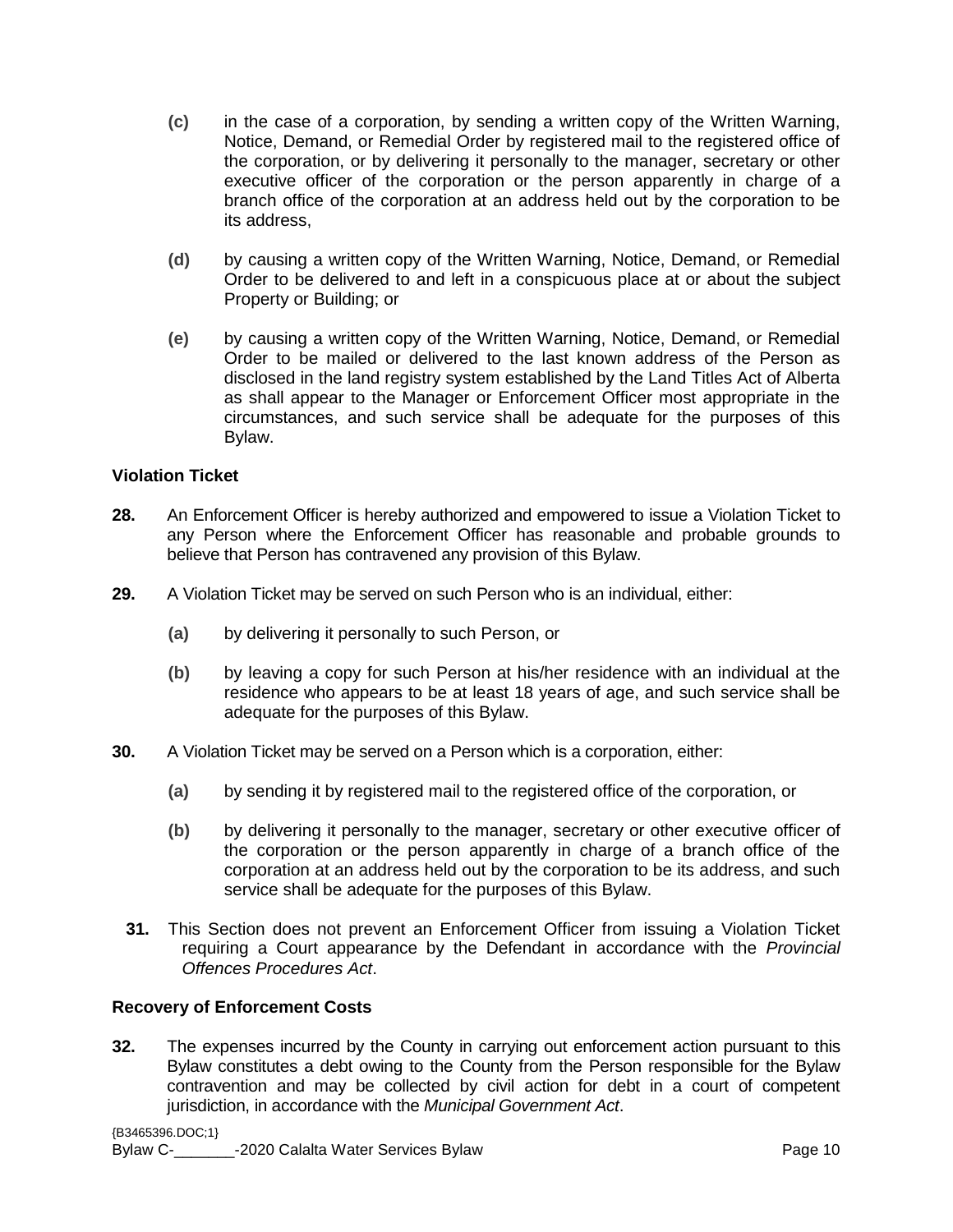- **(c)** in the case of a corporation, by sending a written copy of the Written Warning, Notice, Demand, or Remedial Order by registered mail to the registered office of the corporation, or by delivering it personally to the manager, secretary or other executive officer of the corporation or the person apparently in charge of a branch office of the corporation at an address held out by the corporation to be its address,
- **(d)** by causing a written copy of the Written Warning, Notice, Demand, or Remedial Order to be delivered to and left in a conspicuous place at or about the subject Property or Building; or
- **(e)** by causing a written copy of the Written Warning, Notice, Demand, or Remedial Order to be mailed or delivered to the last known address of the Person as disclosed in the land registry system established by the Land Titles Act of Alberta as shall appear to the Manager or Enforcement Officer most appropriate in the circumstances, and such service shall be adequate for the purposes of this Bylaw.

## **Violation Ticket**

- **28.** An Enforcement Officer is hereby authorized and empowered to issue a Violation Ticket to any Person where the Enforcement Officer has reasonable and probable grounds to believe that Person has contravened any provision of this Bylaw.
- **29.** A Violation Ticket may be served on such Person who is an individual, either:
	- **(a)** by delivering it personally to such Person, or
	- **(b)** by leaving a copy for such Person at his/her residence with an individual at the residence who appears to be at least 18 years of age, and such service shall be adequate for the purposes of this Bylaw.
- **30.** A Violation Ticket may be served on a Person which is a corporation, either:
	- **(a)** by sending it by registered mail to the registered office of the corporation, or
	- **(b)** by delivering it personally to the manager, secretary or other executive officer of the corporation or the person apparently in charge of a branch office of the corporation at an address held out by the corporation to be its address, and such service shall be adequate for the purposes of this Bylaw.
	- **31.** This Section does not prevent an Enforcement Officer from issuing a Violation Ticket requiring a Court appearance by the Defendant in accordance with the *Provincial Offences Procedures Act*.

#### **Recovery of Enforcement Costs**

**32.** The expenses incurred by the County in carrying out enforcement action pursuant to this Bylaw constitutes a debt owing to the County from the Person responsible for the Bylaw contravention and may be collected by civil action for debt in a court of competent jurisdiction, in accordance with the *Municipal Government Act*.

{B3465396.DOC;1} Bylaw C- The Calalta Water Services Bylaw Page 10 and Calalta Water Services Bylaw Page 10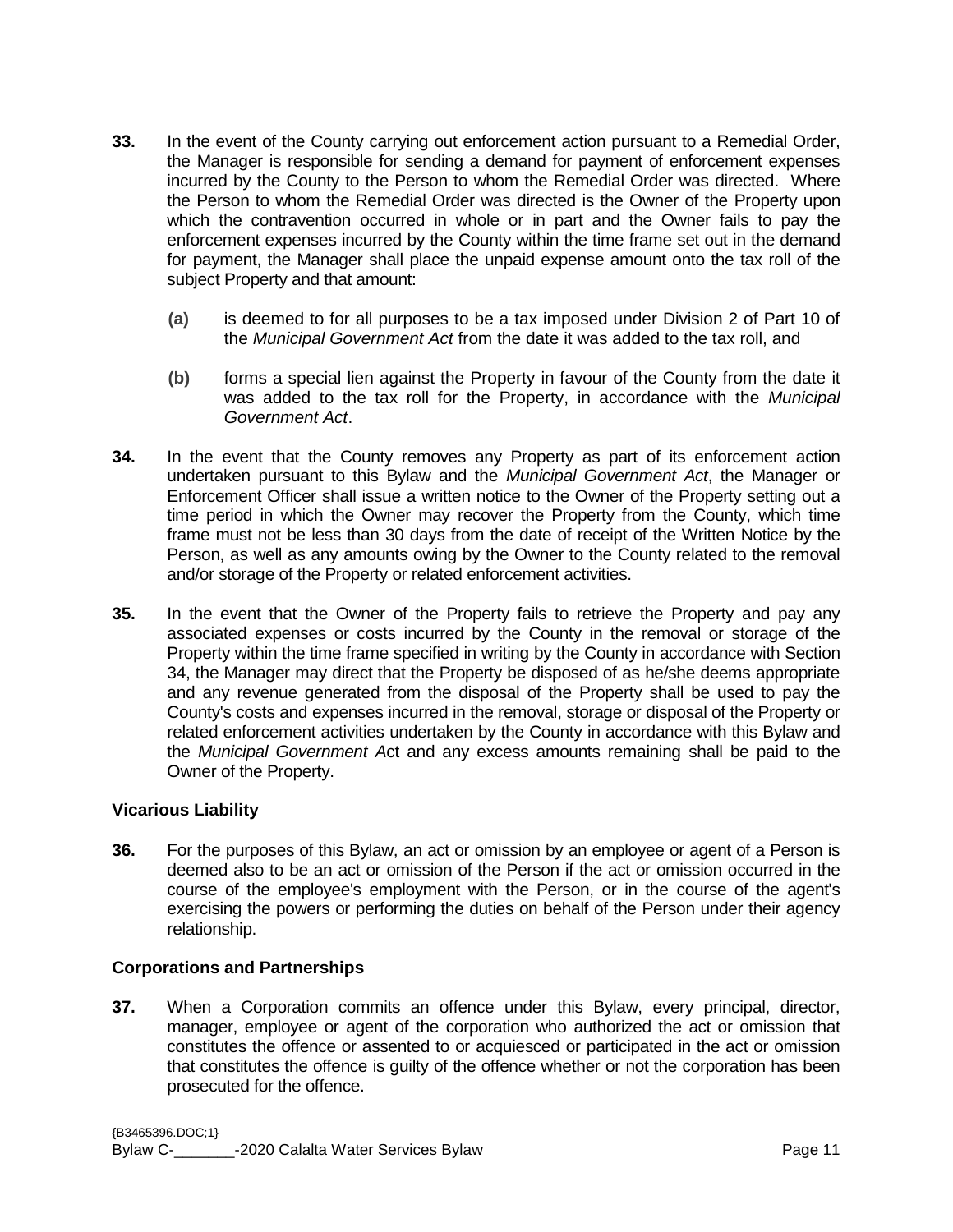- **33.** In the event of the County carrying out enforcement action pursuant to a Remedial Order, the Manager is responsible for sending a demand for payment of enforcement expenses incurred by the County to the Person to whom the Remedial Order was directed. Where the Person to whom the Remedial Order was directed is the Owner of the Property upon which the contravention occurred in whole or in part and the Owner fails to pay the enforcement expenses incurred by the County within the time frame set out in the demand for payment, the Manager shall place the unpaid expense amount onto the tax roll of the subject Property and that amount:
	- **(a)** is deemed to for all purposes to be a tax imposed under Division 2 of Part 10 of the *Municipal Government Act* from the date it was added to the tax roll, and
	- **(b)** forms a special lien against the Property in favour of the County from the date it was added to the tax roll for the Property, in accordance with the *Municipal Government Act*.
- **34.** In the event that the County removes any Property as part of its enforcement action undertaken pursuant to this Bylaw and the *Municipal Government Act*, the Manager or Enforcement Officer shall issue a written notice to the Owner of the Property setting out a time period in which the Owner may recover the Property from the County, which time frame must not be less than 30 days from the date of receipt of the Written Notice by the Person, as well as any amounts owing by the Owner to the County related to the removal and/or storage of the Property or related enforcement activities.
- **35.** In the event that the Owner of the Property fails to retrieve the Property and pay any associated expenses or costs incurred by the County in the removal or storage of the Property within the time frame specified in writing by the County in accordance with Section 34, the Manager may direct that the Property be disposed of as he/she deems appropriate and any revenue generated from the disposal of the Property shall be used to pay the County's costs and expenses incurred in the removal, storage or disposal of the Property or related enforcement activities undertaken by the County in accordance with this Bylaw and the *Municipal Government A*ct and any excess amounts remaining shall be paid to the Owner of the Property.

## **Vicarious Liability**

**36.** For the purposes of this Bylaw, an act or omission by an employee or agent of a Person is deemed also to be an act or omission of the Person if the act or omission occurred in the course of the employee's employment with the Person, or in the course of the agent's exercising the powers or performing the duties on behalf of the Person under their agency relationship.

#### **Corporations and Partnerships**

**37.** When a Corporation commits an offence under this Bylaw, every principal, director, manager, employee or agent of the corporation who authorized the act or omission that constitutes the offence or assented to or acquiesced or participated in the act or omission that constitutes the offence is guilty of the offence whether or not the corporation has been prosecuted for the offence.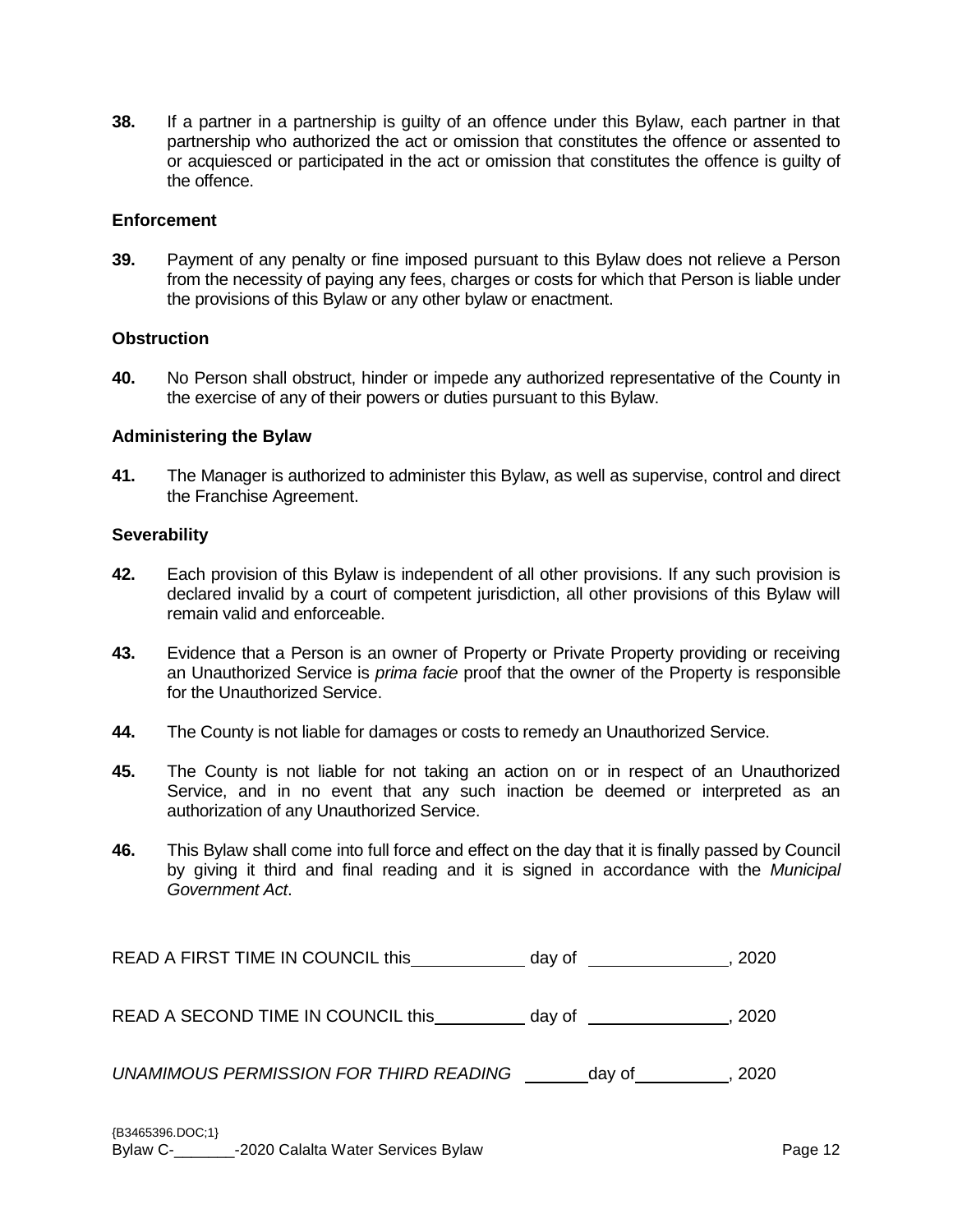**38.** If a partner in a partnership is guilty of an offence under this Bylaw, each partner in that partnership who authorized the act or omission that constitutes the offence or assented to or acquiesced or participated in the act or omission that constitutes the offence is guilty of the offence.

#### **Enforcement**

**39.** Payment of any penalty or fine imposed pursuant to this Bylaw does not relieve a Person from the necessity of paying any fees, charges or costs for which that Person is liable under the provisions of this Bylaw or any other bylaw or enactment.

#### **Obstruction**

**40.** No Person shall obstruct, hinder or impede any authorized representative of the County in the exercise of any of their powers or duties pursuant to this Bylaw.

#### **Administering the Bylaw**

**41.** The Manager is authorized to administer this Bylaw, as well as supervise, control and direct the Franchise Agreement.

#### **Severability**

- **42.** Each provision of this Bylaw is independent of all other provisions. If any such provision is declared invalid by a court of competent jurisdiction, all other provisions of this Bylaw will remain valid and enforceable.
- **43.** Evidence that a Person is an owner of Property or Private Property providing or receiving an Unauthorized Service is *prima facie* proof that the owner of the Property is responsible for the Unauthorized Service.
- **44.** The County is not liable for damages or costs to remedy an Unauthorized Service.
- **45.** The County is not liable for not taking an action on or in respect of an Unauthorized Service, and in no event that any such inaction be deemed or interpreted as an authorization of any Unauthorized Service.
- **46.** This Bylaw shall come into full force and effect on the day that it is finally passed by Council by giving it third and final reading and it is signed in accordance with the *Municipal Government Act*.

READ A FIRST TIME IN COUNCIL this \_\_\_\_\_\_\_\_\_\_\_ day of \_\_\_\_\_\_\_\_\_\_\_\_\_\_\_\_, 2020

READ A SECOND TIME IN COUNCIL this day of  $\qquad \qquad$  , 2020

*UNAMIMOUS PERMISSION FOR THIRD READING* \_\_\_\_\_\_\_day of \_\_\_\_\_\_\_\_\_, 2020

{B3465396.DOC;1} Bylaw C- The Calalta Water Services Bylaw Page 12 and Services Bylaw Page 12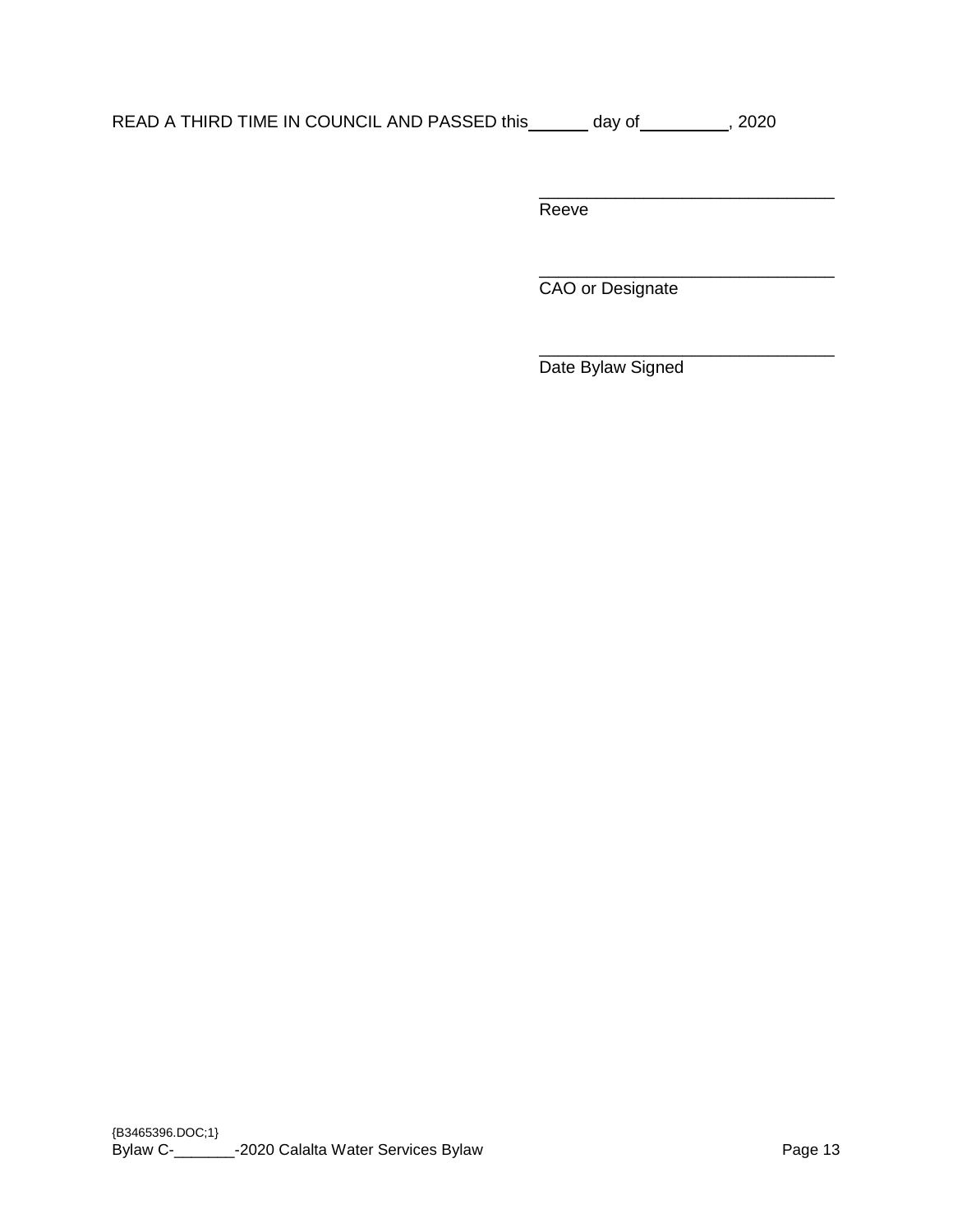| READ A THIRD TIME IN COUNCIL AND PASSED this | dav of | 2020 |
|----------------------------------------------|--------|------|
|----------------------------------------------|--------|------|

\_\_\_\_\_\_\_\_\_\_\_\_\_\_\_\_\_\_\_\_\_\_\_\_\_\_\_\_\_\_\_ **Reeve** 

\_\_\_\_\_\_\_\_\_\_\_\_\_\_\_\_\_\_\_\_\_\_\_\_\_\_\_\_\_\_\_ CAO or Designate

\_\_\_\_\_\_\_\_\_\_\_\_\_\_\_\_\_\_\_\_\_\_\_\_\_\_\_\_\_\_\_ Date Bylaw Signed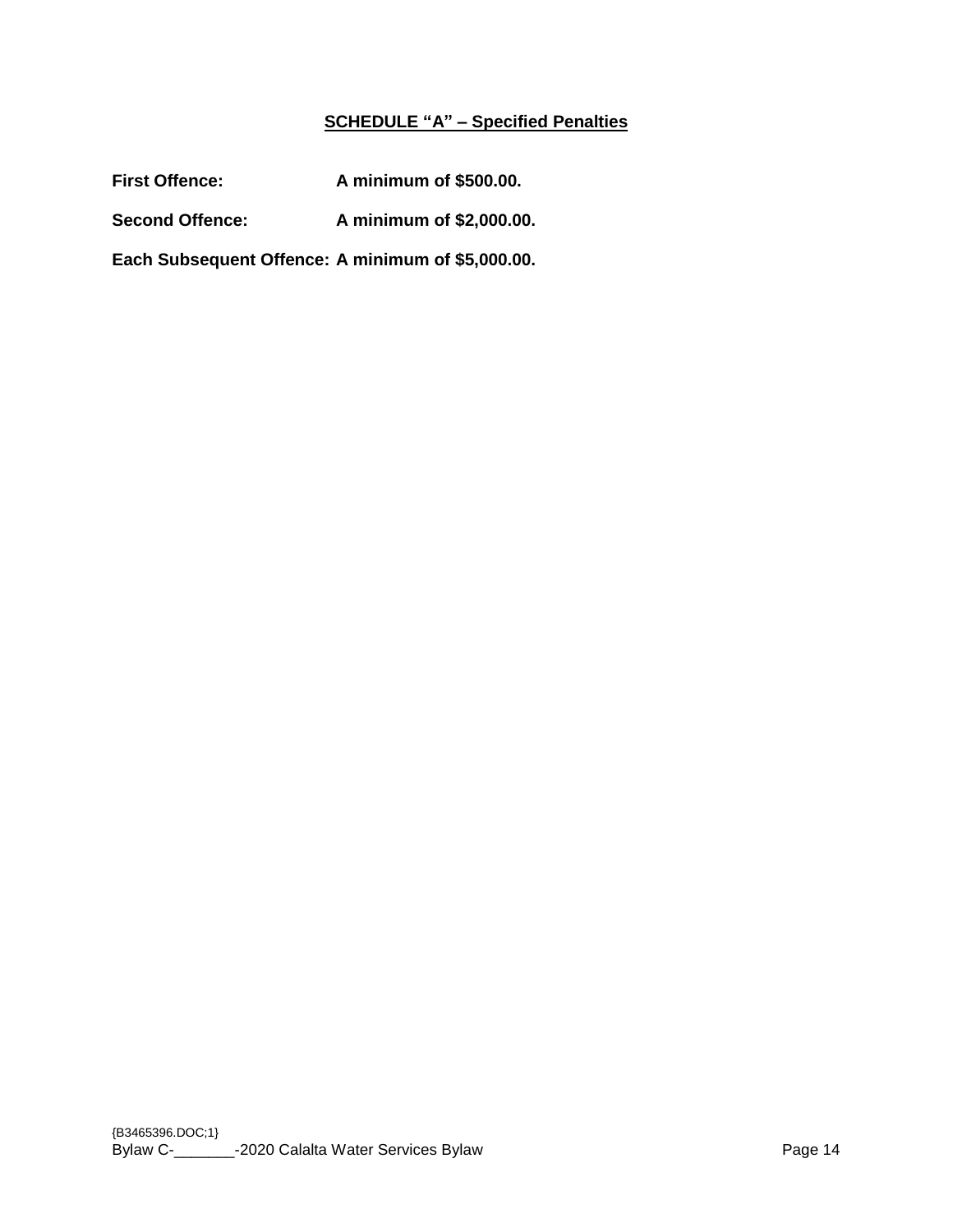# **SCHEDULE "A" – Specified Penalties**

First Offence: A minimum of \$500.00.

**Second Offence: A minimum of \$2,000.00.**

**Each Subsequent Offence: A minimum of \$5,000.00.**